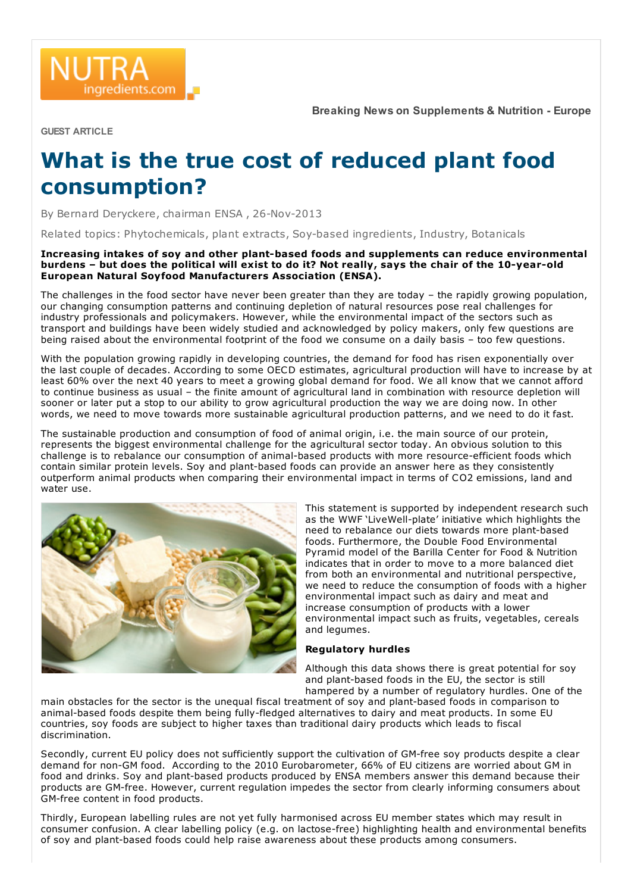GUEST ARTICLE

ingredients.com

## What is the true cost of reduced plant food consumption?

By Bernard Deryckere, chairman ENSA , 26-Nov-2013

Related topics: Phytochemicals, plant extracts, Soy-based ingredients, Industry, Botanicals

Increasing intakes of soy and other plant-based foods and supplements can reduce environmental burdens – but does the political will exist to do it? Not really, says the chair of the 10-year-old European Natural Soyfood Manufacturers Association (ENSA).

The challenges in the food sector have never been greater than they are today – the rapidly growing population, our changing consumption patterns and continuing depletion of natural resources pose real challenges for industry professionals and policymakers. However, while the environmental impact of the sectors such as transport and buildings have been widely studied and acknowledged by policy makers, only few questions are being raised about the environmental footprint of the food we consume on a daily basis – too few questions.

With the population growing rapidly in developing countries, the demand for food has risen exponentially over the last couple of decades. According to some OECD estimates, agricultural production will have to increase by at least 60% over the next 40 years to meet a growing global demand for food. We all know that we cannot afford to continue business as usual – the finite amount of agricultural land in combination with resource depletion will sooner or later put a stop to our ability to grow agricultural production the way we are doing now. In other words, we need to move towards more sustainable agricultural production patterns, and we need to do it fast.

The sustainable production and consumption of food of animal origin, i.e. the main source of our protein, represents the biggest environmental challenge for the agricultural sector today. An obvious solution to this challenge is to rebalance our consumption of animal-based products with more resource-efficient foods which contain similar protein levels. Soy and plant-based foods can provide an answer here as they consistently outperform animal products when comparing their environmental impact in terms of CO2 emissions, land and water use.



This statement is supported by independent research such as the WWF 'LiveWell-plate' initiative which highlights the need to rebalance our diets towards more plant-based foods. Furthermore, the Double Food Environmental Pyramid model of the Barilla Center for Food & Nutrition indicates that in order to move to a more balanced diet from both an environmental and nutritional perspective, we need to reduce the consumption of foods with a higher environmental impact such as dairy and meat and increase consumption of products with a lower environmental impact such as fruits, vegetables, cereals and legumes.

## Regulatory hurdles

Although this data shows there is great potential for soy and plant-based foods in the EU, the sector is still hampered by a number of regulatory hurdles. One of the

main obstacles for the sector is the unequal fiscal treatment of soy and plant-based foods in comparison to animal-based foods despite them being fully-fledged alternatives to dairy and meat products. In some EU countries, soy foods are subject to higher taxes than traditional dairy products which leads to fiscal discrimination.

Secondly, current EU policy does not sufficiently support the cultivation of GM-free soy products despite a clear demand for non-GM food. According to the 2010 Eurobarometer, 66% of EU citizens are worried about GM in food and drinks. Soy and plant-based products produced by ENSA members answer this demand because their products are GM-free. However, current regulation impedes the sector from clearly informing consumers about GM-free content in food products.

Thirdly, European labelling rules are not yet fully harmonised across EU member states which may result in consumer confusion. A clear labelling policy (e.g. on lactose-free) highlighting health and environmental benefits of soy and plant-based foods could help raise awareness about these products among consumers.